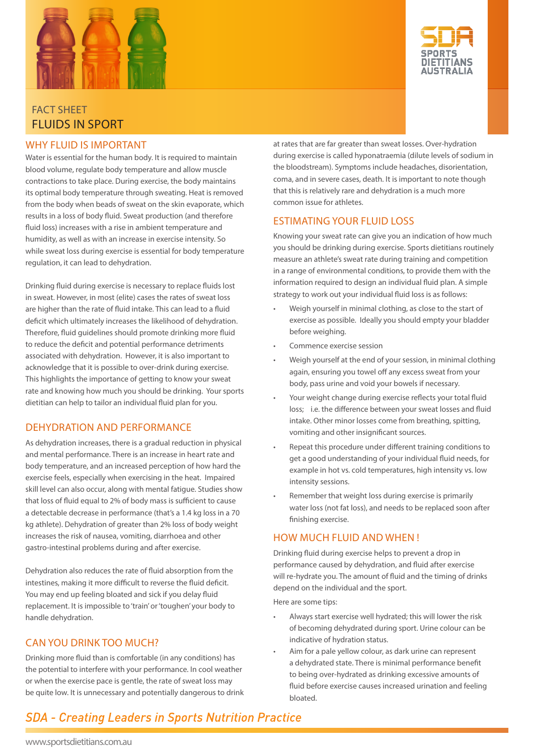



## fact sheet Fluids in sport

#### why fluid is important

Water is essential for the human body. It is required to maintain blood volume, regulate body temperature and allow muscle contractions to take place. During exercise, the body maintains its optimal body temperature through sweating. Heat is removed from the body when beads of sweat on the skin evaporate, which results in a loss of body fluid. Sweat production (and therefore fluid loss) increases with a rise in ambient temperature and humidity, as well as with an increase in exercise intensity. So while sweat loss during exercise is essential for body temperature regulation, it can lead to dehydration.

Drinking fluid during exercise is necessary to replace fluids lost in sweat. However, in most (elite) cases the rates of sweat loss are higher than the rate of fluid intake. This can lead to a fluid deficit which ultimately increases the likelihood of dehydration. Therefore, fluid guidelines should promote drinking more fluid to reduce the deficit and potential performance detriments associated with dehydration. However, it is also important to acknowledge that it is possible to over-drink during exercise. This highlights the importance of getting to know your sweat rate and knowing how much you should be drinking. Your sports dietitian can help to tailor an individual fluid plan for you.

### DehyDration anD Performance

As dehydration increases, there is a gradual reduction in physical and mental performance. There is an increase in heart rate and body temperature, and an increased perception of how hard the exercise feels, especially when exercising in the heat. Impaired skill level can also occur, along with mental fatigue. Studies show that loss of fluid equal to 2% of body mass is sufficient to cause a detectable decrease in performance (that's a 1.4 kg loss in a 70 kg athlete). Dehydration of greater than 2% loss of body weight increases the risk of nausea, vomiting, diarrhoea and other gastro-intestinal problems during and after exercise.

Dehydration also reduces the rate of fluid absorption from the intestines, making it more difficult to reverse the fluid deficit. You may end up feeling bloated and sick if you delay fluid replacement. It is impossible to 'train' or 'toughen' your body to handle dehydration.

## can you Drink too much?

Drinking more fluid than is comfortable (in any conditions) has the potential to interfere with your performance. In cool weather or when the exercise pace is gentle, the rate of sweat loss may be quite low. It is unnecessary and potentially dangerous to drink at rates that are far greater than sweat losses. Over-hydration during exercise is called hyponatraemia (dilute levels of sodium in the bloodstream). Symptoms include headaches, disorientation, coma, and in severe cases, death. It is important to note though that this is relatively rare and dehydration is a much more common issue for athletes.

## estimating your fluid loss

Knowing your sweat rate can give you an indication of how much you should be drinking during exercise. Sports dietitians routinely measure an athlete's sweat rate during training and competition in a range of environmental conditions, to provide them with the information required to design an individual fluid plan. A simple strategy to work out your individual fluid loss is as follows:

- Weigh yourself in minimal clothing, as close to the start of exercise as possible. Ideally you should empty your bladder before weighing.
- Commence exercise session
- Weigh yourself at the end of your session, in minimal clothing again, ensuring you towel off any excess sweat from your body, pass urine and void your bowels if necessary.
- Your weight change during exercise reflects your total fluid loss; i.e. the difference between your sweat losses and fluid intake. Other minor losses come from breathing, spitting, vomiting and other insignificant sources.
- Repeat this procedure under different training conditions to get a good understanding of your individual fluid needs, for example in hot vs. cold temperatures, high intensity vs. low intensity sessions.
- Remember that weight loss during exercise is primarily water loss (not fat loss), and needs to be replaced soon after finishing exercise.

## how much fluid and when !

Drinking fluid during exercise helps to prevent a drop in performance caused by dehydration, and fluid after exercise will re-hydrate you. The amount of fluid and the timing of drinks depend on the individual and the sport.

Here are some tips:

- Always start exercise well hydrated; this will lower the risk of becoming dehydrated during sport. Urine colour can be indicative of hydration status.
- Aim for a pale yellow colour, as dark urine can represent a dehydrated state. There is minimal performance benefit to being over-hydrated as drinking excessive amounts of fluid before exercise causes increased urination and feeling bloated.

# **SDA - Creating Leaders in Sports Nutrition Practice**